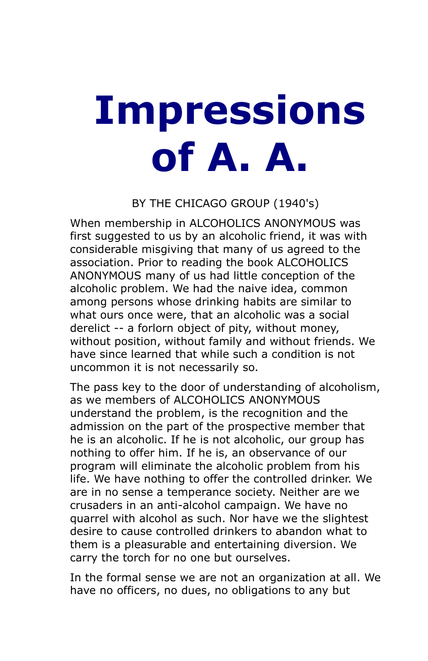## **Impressions of A. A.**

## BY THE CHICAGO GROUP (1940's)

When membership in ALCOHOLICS ANONYMOUS was first suggested to us by an alcoholic friend, it was with considerable misgiving that many of us agreed to the association. Prior to reading the book ALCOHOLICS ANONYMOUS many of us had little conception of the alcoholic problem. We had the naive idea, common among persons whose drinking habits are similar to what ours once were, that an alcoholic was a social derelict -- a forlorn object of pity, without money, without position, without family and without friends. We have since learned that while such a condition is not uncommon it is not necessarily so.

The pass key to the door of understanding of alcoholism, as we members of ALCOHOLICS ANONYMOUS understand the problem, is the recognition and the admission on the part of the prospective member that he is an alcoholic. If he is not alcoholic, our group has nothing to offer him. If he is, an observance of our program will eliminate the alcoholic problem from his life. We have nothing to offer the controlled drinker. We are in no sense a temperance society. Neither are we crusaders in an anti-alcohol campaign. We have no quarrel with alcohol as such. Nor have we the slightest desire to cause controlled drinkers to abandon what to them is a pleasurable and entertaining diversion. We carry the torch for no one but ourselves.

In the formal sense we are not an organization at all. We have no officers, no dues, no obligations to any but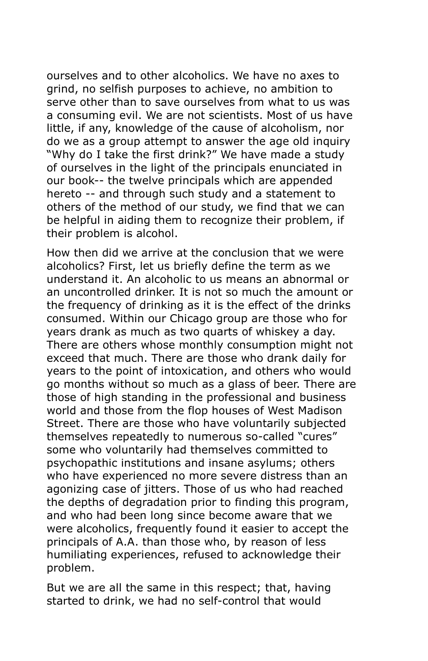ourselves and to other alcoholics. We have no axes to grind, no selfish purposes to achieve, no ambition to serve other than to save ourselves from what to us was a consuming evil. We are not scientists. Most of us have little, if any, knowledge of the cause of alcoholism, nor do we as a group attempt to answer the age old inquiry "Why do I take the first drink?" We have made a study of ourselves in the light of the principals enunciated in our book-- the twelve principals which are appended hereto -- and through such study and a statement to others of the method of our study, we find that we can be helpful in aiding them to recognize their problem, if their problem is alcohol.

How then did we arrive at the conclusion that we were alcoholics? First, let us briefly define the term as we understand it. An alcoholic to us means an abnormal or an uncontrolled drinker. It is not so much the amount or the frequency of drinking as it is the effect of the drinks consumed. Within our Chicago group are those who for years drank as much as two quarts of whiskey a day. There are others whose monthly consumption might not exceed that much. There are those who drank daily for years to the point of intoxication, and others who would go months without so much as a glass of beer. There are those of high standing in the professional and business world and those from the flop houses of West Madison Street. There are those who have voluntarily subjected themselves repeatedly to numerous so-called "cures" some who voluntarily had themselves committed to psychopathic institutions and insane asylums; others who have experienced no more severe distress than an agonizing case of jitters. Those of us who had reached the depths of degradation prior to finding this program, and who had been long since become aware that we were alcoholics, frequently found it easier to accept the principals of A.A. than those who, by reason of less humiliating experiences, refused to acknowledge their problem.

But we are all the same in this respect; that, having started to drink, we had no self-control that would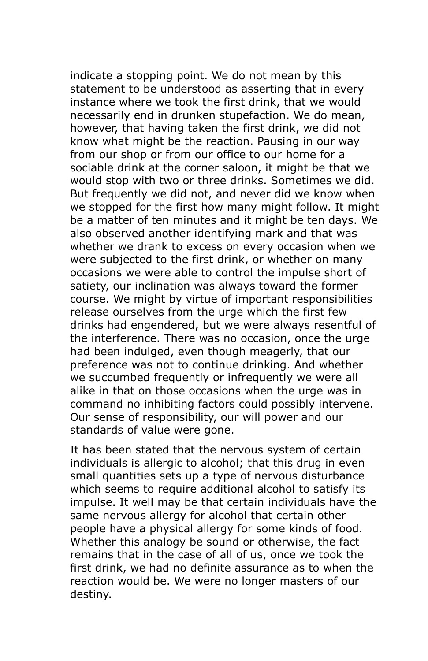indicate a stopping point. We do not mean by this statement to be understood as asserting that in every instance where we took the first drink, that we would necessarily end in drunken stupefaction. We do mean, however, that having taken the first drink, we did not know what might be the reaction. Pausing in our way from our shop or from our office to our home for a sociable drink at the corner saloon, it might be that we would stop with two or three drinks. Sometimes we did. But frequently we did not, and never did we know when we stopped for the first how many might follow. It might be a matter of ten minutes and it might be ten days. We also observed another identifying mark and that was whether we drank to excess on every occasion when we were subjected to the first drink, or whether on many occasions we were able to control the impulse short of satiety, our inclination was always toward the former course. We might by virtue of important responsibilities release ourselves from the urge which the first few drinks had engendered, but we were always resentful of the interference. There was no occasion, once the urge had been indulged, even though meagerly, that our preference was not to continue drinking. And whether we succumbed frequently or infrequently we were all alike in that on those occasions when the urge was in command no inhibiting factors could possibly intervene. Our sense of responsibility, our will power and our standards of value were gone.

It has been stated that the nervous system of certain individuals is allergic to alcohol; that this drug in even small quantities sets up a type of nervous disturbance which seems to require additional alcohol to satisfy its impulse. It well may be that certain individuals have the same nervous allergy for alcohol that certain other people have a physical allergy for some kinds of food. Whether this analogy be sound or otherwise, the fact remains that in the case of all of us, once we took the first drink, we had no definite assurance as to when the reaction would be. We were no longer masters of our destiny.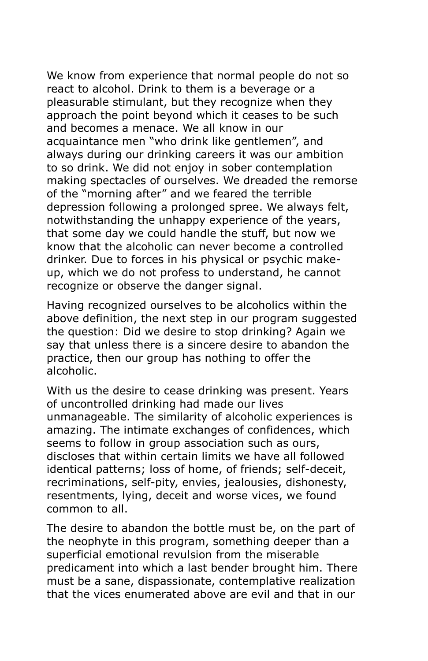We know from experience that normal people do not so react to alcohol. Drink to them is a beverage or a pleasurable stimulant, but they recognize when they approach the point beyond which it ceases to be such and becomes a menace. We all know in our acquaintance men "who drink like gentlemen", and always during our drinking careers it was our ambition to so drink. We did not enjoy in sober contemplation making spectacles of ourselves. We dreaded the remorse of the "morning after" and we feared the terrible depression following a prolonged spree. We always felt, notwithstanding the unhappy experience of the years, that some day we could handle the stuff, but now we know that the alcoholic can never become a controlled drinker. Due to forces in his physical or psychic makeup, which we do not profess to understand, he cannot recognize or observe the danger signal.

Having recognized ourselves to be alcoholics within the above definition, the next step in our program suggested the question: Did we desire to stop drinking? Again we say that unless there is a sincere desire to abandon the practice, then our group has nothing to offer the alcoholic.

With us the desire to cease drinking was present. Years of uncontrolled drinking had made our lives unmanageable. The similarity of alcoholic experiences is amazing. The intimate exchanges of confidences, which seems to follow in group association such as ours, discloses that within certain limits we have all followed identical patterns; loss of home, of friends; self-deceit, recriminations, self-pity, envies, jealousies, dishonesty, resentments, lying, deceit and worse vices, we found common to all.

The desire to abandon the bottle must be, on the part of the neophyte in this program, something deeper than a superficial emotional revulsion from the miserable predicament into which a last bender brought him. There must be a sane, dispassionate, contemplative realization that the vices enumerated above are evil and that in our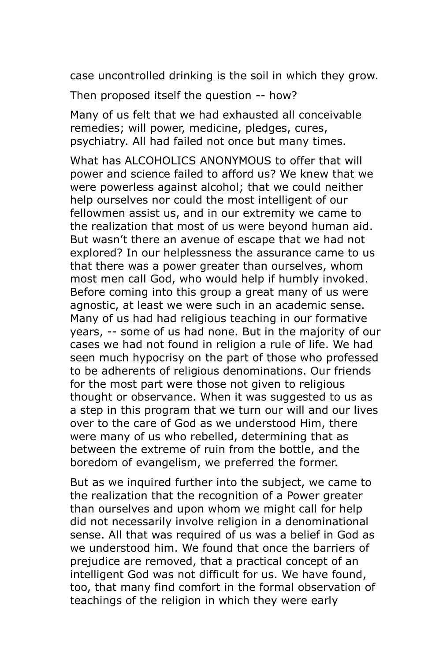case uncontrolled drinking is the soil in which they grow.

Then proposed itself the question -- how?

Many of us felt that we had exhausted all conceivable remedies; will power, medicine, pledges, cures, psychiatry. All had failed not once but many times.

What has ALCOHOLICS ANONYMOUS to offer that will power and science failed to afford us? We knew that we were powerless against alcohol; that we could neither help ourselves nor could the most intelligent of our fellowmen assist us, and in our extremity we came to the realization that most of us were beyond human aid. But wasn't there an avenue of escape that we had not explored? In our helplessness the assurance came to us that there was a power greater than ourselves, whom most men call God, who would help if humbly invoked. Before coming into this group a great many of us were agnostic, at least we were such in an academic sense. Many of us had had religious teaching in our formative years, -- some of us had none. But in the majority of our cases we had not found in religion a rule of life. We had seen much hypocrisy on the part of those who professed to be adherents of religious denominations. Our friends for the most part were those not given to religious thought or observance. When it was suggested to us as a step in this program that we turn our will and our lives over to the care of God as we understood Him, there were many of us who rebelled, determining that as between the extreme of ruin from the bottle, and the boredom of evangelism, we preferred the former.

But as we inquired further into the subject, we came to the realization that the recognition of a Power greater than ourselves and upon whom we might call for help did not necessarily involve religion in a denominational sense. All that was required of us was a belief in God as we understood him. We found that once the barriers of prejudice are removed, that a practical concept of an intelligent God was not difficult for us. We have found, too, that many find comfort in the formal observation of teachings of the religion in which they were early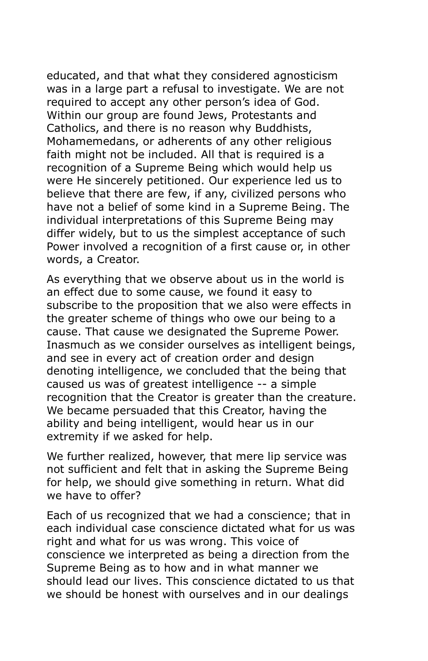educated, and that what they considered agnosticism was in a large part a refusal to investigate. We are not required to accept any other person's idea of God. Within our group are found Jews, Protestants and Catholics, and there is no reason why Buddhists, Mohamemedans, or adherents of any other religious faith might not be included. All that is required is a recognition of a Supreme Being which would help us were He sincerely petitioned. Our experience led us to believe that there are few, if any, civilized persons who have not a belief of some kind in a Supreme Being. The individual interpretations of this Supreme Being may differ widely, but to us the simplest acceptance of such Power involved a recognition of a first cause or, in other words, a Creator.

As everything that we observe about us in the world is an effect due to some cause, we found it easy to subscribe to the proposition that we also were effects in the greater scheme of things who owe our being to a cause. That cause we designated the Supreme Power. Inasmuch as we consider ourselves as intelligent beings, and see in every act of creation order and design denoting intelligence, we concluded that the being that caused us was of greatest intelligence -- a simple recognition that the Creator is greater than the creature. We became persuaded that this Creator, having the ability and being intelligent, would hear us in our extremity if we asked for help.

We further realized, however, that mere lip service was not sufficient and felt that in asking the Supreme Being for help, we should give something in return. What did we have to offer?

Each of us recognized that we had a conscience; that in each individual case conscience dictated what for us was right and what for us was wrong. This voice of conscience we interpreted as being a direction from the Supreme Being as to how and in what manner we should lead our lives. This conscience dictated to us that we should be honest with ourselves and in our dealings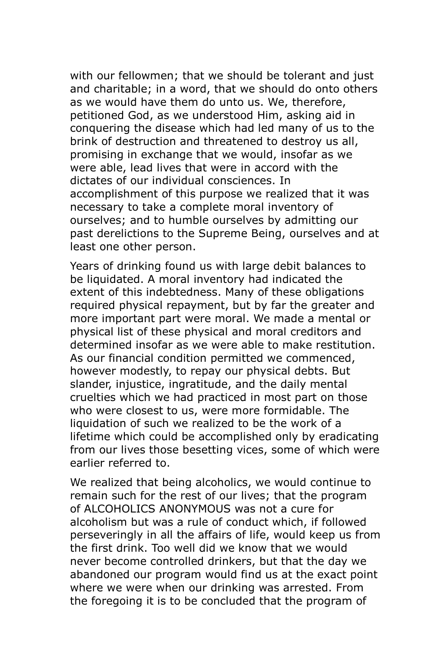with our fellowmen; that we should be tolerant and just and charitable; in a word, that we should do onto others as we would have them do unto us. We, therefore, petitioned God, as we understood Him, asking aid in conquering the disease which had led many of us to the brink of destruction and threatened to destroy us all, promising in exchange that we would, insofar as we were able, lead lives that were in accord with the dictates of our individual consciences. In accomplishment of this purpose we realized that it was necessary to take a complete moral inventory of ourselves; and to humble ourselves by admitting our past derelictions to the Supreme Being, ourselves and at least one other person.

Years of drinking found us with large debit balances to be liquidated. A moral inventory had indicated the extent of this indebtedness. Many of these obligations required physical repayment, but by far the greater and more important part were moral. We made a mental or physical list of these physical and moral creditors and determined insofar as we were able to make restitution. As our financial condition permitted we commenced, however modestly, to repay our physical debts. But slander, injustice, ingratitude, and the daily mental cruelties which we had practiced in most part on those who were closest to us, were more formidable. The liquidation of such we realized to be the work of a lifetime which could be accomplished only by eradicating from our lives those besetting vices, some of which were earlier referred to.

We realized that being alcoholics, we would continue to remain such for the rest of our lives; that the program of ALCOHOLICS ANONYMOUS was not a cure for alcoholism but was a rule of conduct which, if followed perseveringly in all the affairs of life, would keep us from the first drink. Too well did we know that we would never become controlled drinkers, but that the day we abandoned our program would find us at the exact point where we were when our drinking was arrested. From the foregoing it is to be concluded that the program of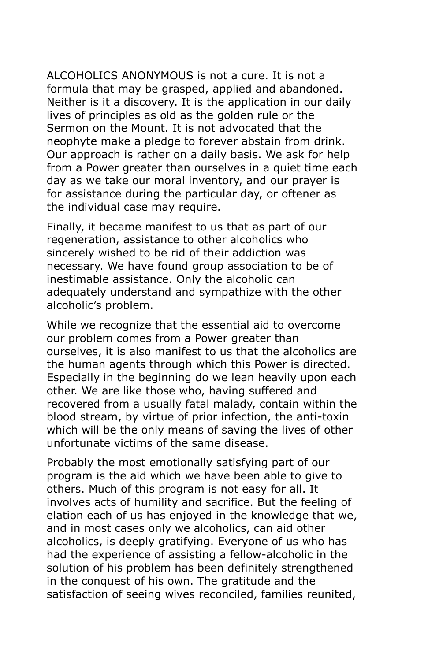ALCOHOLICS ANONYMOUS is not a cure. It is not a formula that may be grasped, applied and abandoned. Neither is it a discovery. It is the application in our daily lives of principles as old as the golden rule or the Sermon on the Mount. It is not advocated that the neophyte make a pledge to forever abstain from drink. Our approach is rather on a daily basis. We ask for help from a Power greater than ourselves in a quiet time each day as we take our moral inventory, and our prayer is for assistance during the particular day, or oftener as the individual case may require.

Finally, it became manifest to us that as part of our regeneration, assistance to other alcoholics who sincerely wished to be rid of their addiction was necessary. We have found group association to be of inestimable assistance. Only the alcoholic can adequately understand and sympathize with the other alcoholic's problem.

While we recognize that the essential aid to overcome our problem comes from a Power greater than ourselves, it is also manifest to us that the alcoholics are the human agents through which this Power is directed. Especially in the beginning do we lean heavily upon each other. We are like those who, having suffered and recovered from a usually fatal malady, contain within the blood stream, by virtue of prior infection, the anti-toxin which will be the only means of saving the lives of other unfortunate victims of the same disease.

Probably the most emotionally satisfying part of our program is the aid which we have been able to give to others. Much of this program is not easy for all. It involves acts of humility and sacrifice. But the feeling of elation each of us has enjoyed in the knowledge that we, and in most cases only we alcoholics, can aid other alcoholics, is deeply gratifying. Everyone of us who has had the experience of assisting a fellow-alcoholic in the solution of his problem has been definitely strengthened in the conquest of his own. The gratitude and the satisfaction of seeing wives reconciled, families reunited,